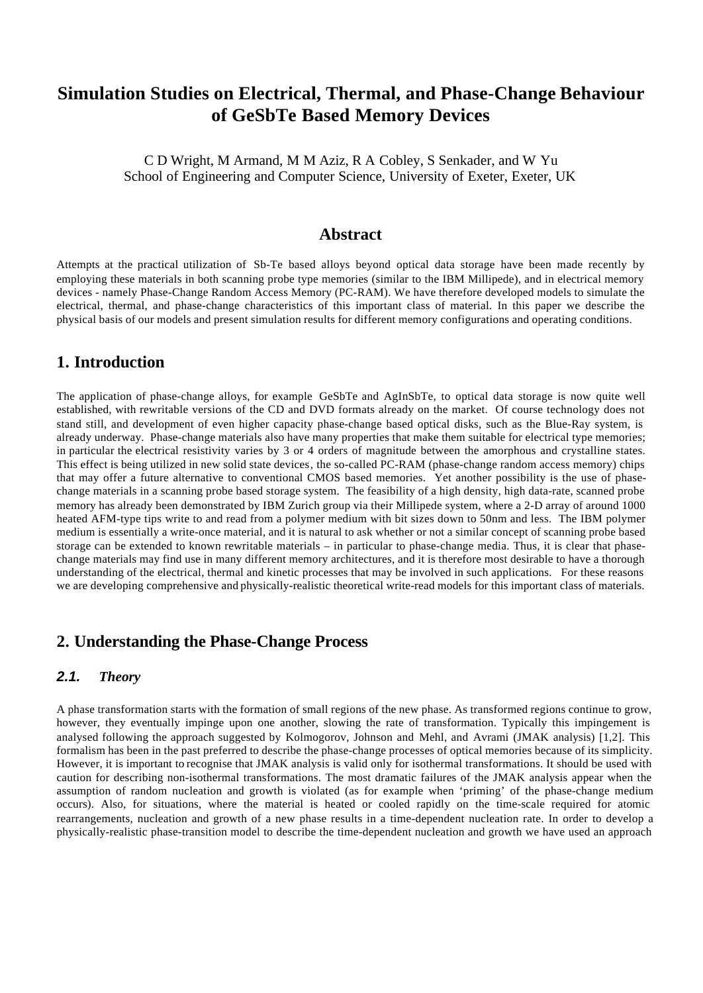# **Simulation Studies on Electrical, Thermal, and Phase-Change Behaviour of GeSbTe Based Memory Devices**

C D Wright, M Armand, M M Aziz, R A Cobley, S Senkader, and W Yu School of Engineering and Computer Science, University of Exeter, Exeter, UK

## **Abstract**

Attempts at the practical utilization of Sb-Te based alloys beyond optical data storage have been made recently by employing these materials in both scanning probe type memories (similar to the IBM Millipede), and in electrical memory devices - namely Phase-Change Random Access Memory (PC-RAM). We have therefore developed models to simulate the electrical, thermal, and phase-change characteristics of this important class of material. In this paper we describe the physical basis of our models and present simulation results for different memory configurations and operating conditions.

## **1. Introduction**

The application of phase-change alloys, for example GeSbTe and AgInSbTe, to optical data storage is now quite well established, with rewritable versions of the CD and DVD formats already on the market. Of course technology does not stand still, and development of even higher capacity phase-change based optical disks, such as the Blue-Ray system, is already underway. Phase-change materials also have many properties that make them suitable for electrical type memories; in particular the electrical resistivity varies by 3 or 4 orders of magnitude between the amorphous and crystalline states. This effect is being utilized in new solid state devices, the so-called PC-RAM (phase-change random access memory) chips that may offer a future alternative to conventional CMOS based memories. Yet another possibility is the use of phasechange materials in a scanning probe based storage system. The feasibility of a high density, high data-rate, scanned probe memory has already been demonstrated by IBM Zurich group via their Millipede system, where a 2-D array of around 1000 heated AFM-type tips write to and read from a polymer medium with bit sizes down to 50nm and less. The IBM polymer medium is essentially a write-once material, and it is natural to ask whether or not a similar concept of scanning probe based storage can be extended to known rewritable materials – in particular to phase-change media. Thus, it is clear that phasechange materials may find use in many different memory architectures, and it is therefore most desirable to have a thorough understanding of the electrical, thermal and kinetic processes that may be involved in such applications. For these reasons we are developing comprehensive and physically-realistic theoretical write-read models for this important class of materials.

## **2. Understanding the Phase-Change Process**

## *2.1. Theory*

A phase transformation starts with the formation of small regions of the new phase. As transformed regions continue to grow, however, they eventually impinge upon one another, slowing the rate of transformation. Typically this impingement is analysed following the approach suggested by Kolmogorov, Johnson and Mehl, and Avrami (JMAK analysis) [1,2]. This formalism has been in the past preferred to describe the phase-change processes of optical memories because of its simplicity. However, it is important to recognise that JMAK analysis is valid only for isothermal transformations. It should be used with caution for describing non-isothermal transformations. The most dramatic failures of the JMAK analysis appear when the assumption of random nucleation and growth is violated (as for example when 'priming' of the phase-change medium occurs). Also, for situations, where the material is heated or cooled rapidly on the time-scale required for atomic rearrangements, nucleation and growth of a new phase results in a time-dependent nucleation rate. In order to develop a physically-realistic phase-transition model to describe the time-dependent nucleation and growth we have used an approach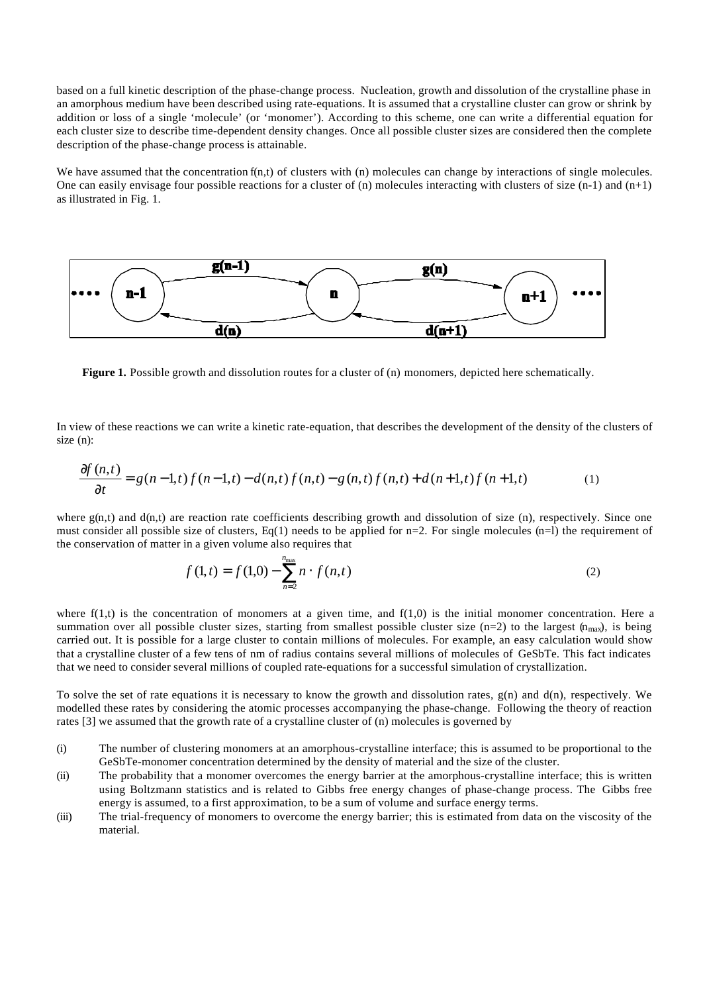based on a full kinetic description of the phase-change process. Nucleation, growth and dissolution of the crystalline phase in an amorphous medium have been described using rate-equations. It is assumed that a crystalline cluster can grow or shrink by addition or loss of a single 'molecule' (or 'monomer'). According to this scheme, one can write a differential equation for each cluster size to describe time-dependent density changes. Once all possible cluster sizes are considered then the complete description of the phase-change process is attainable.

We have assumed that the concentration  $f(n,t)$  of clusters with  $(n)$  molecules can change by interactions of single molecules. One can easily envisage four possible reactions for a cluster of (n) molecules interacting with clusters of size  $(n-1)$  and  $(n+1)$ as illustrated in Fig. 1.



**Figure 1.** Possible growth and dissolution routes for a cluster of (n) monomers, depicted here schematically.

In view of these reactions we can write a kinetic rate-equation, that describes the development of the density of the clusters of size (n):

$$
\frac{\partial f(n,t)}{\partial t} = g(n-1,t)f(n-1,t) - d(n,t)f(n,t) - g(n,t)f(n,t) + d(n+1,t)f(n+1,t)
$$
\n(1)

where  $g(n,t)$  and  $d(n,t)$  are reaction rate coefficients describing growth and dissolution of size (n), respectively. Since one must consider all possible size of clusters,  $Eq(1)$  needs to be applied for n=2. For single molecules (n=l) the requirement of the conservation of matter in a given volume also requires that

$$
f(1,t) = f(1,0) - \sum_{n=2}^{n_{\text{max}}} n \cdot f(n,t)
$$
 (2)

where  $f(1,t)$  is the concentration of monomers at a given time, and  $f(1,0)$  is the initial monomer concentration. Here a summation over all possible cluster sizes, starting from smallest possible cluster size (n=2) to the largest  $(n_{max})$ , is being carried out. It is possible for a large cluster to contain millions of molecules. For example, an easy calculation would show that a crystalline cluster of a few tens of nm of radius contains several millions of molecules of GeSbTe. This fact indicates that we need to consider several millions of coupled rate-equations for a successful simulation of crystallization.

To solve the set of rate equations it is necessary to know the growth and dissolution rates,  $g(n)$  and  $d(n)$ , respectively. We modelled these rates by considering the atomic processes accompanying the phase-change. Following the theory of reaction rates [3] we assumed that the growth rate of a crystalline cluster of (n) molecules is governed by

- (i) The number of clustering monomers at an amorphous-crystalline interface; this is assumed to be proportional to the GeSbTe-monomer concentration determined by the density of material and the size of the cluster.
- (ii) The probability that a monomer overcomes the energy barrier at the amorphous-crystalline interface; this is written using Boltzmann statistics and is related to Gibbs free energy changes of phase-change process. The Gibbs free energy is assumed, to a first approximation, to be a sum of volume and surface energy terms.
- (iii) The trial-frequency of monomers to overcome the energy barrier; this is estimated from data on the viscosity of the material.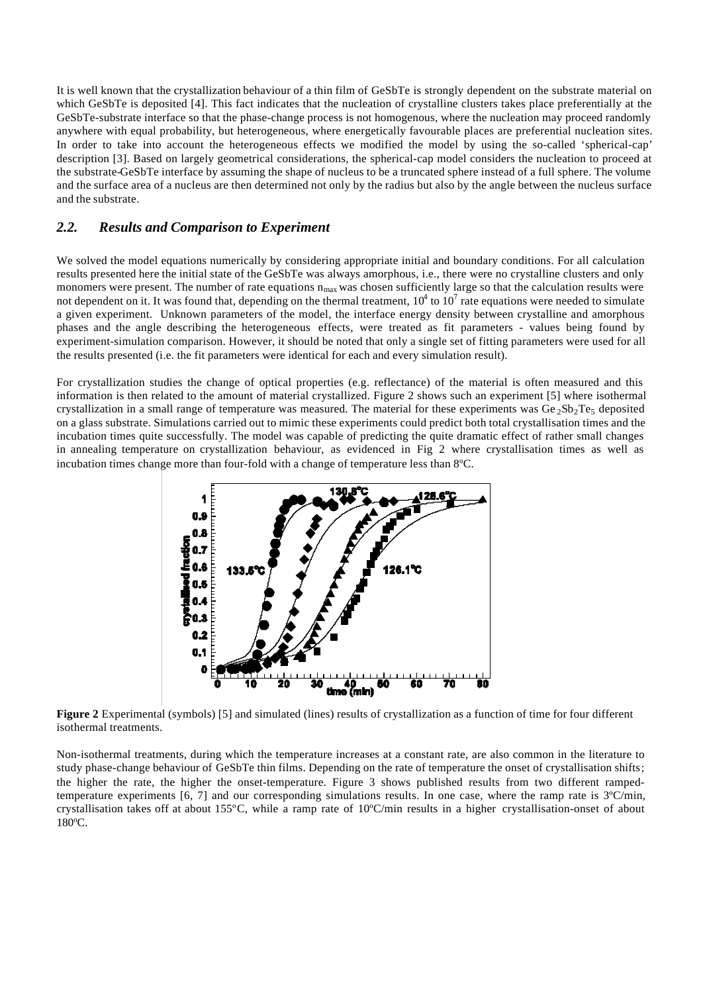It is well known that the crystallization behaviour of a thin film of GeSbTe is strongly dependent on the substrate material on which GeSbTe is deposited [4]. This fact indicates that the nucleation of crystalline clusters takes place preferentially at the GeSbTe-substrate interface so that the phase-change process is not homogenous, where the nucleation may proceed randomly anywhere with equal probability, but heterogeneous, where energetically favourable places are preferential nucleation sites. In order to take into account the heterogeneous effects we modified the model by using the so-called 'spherical-cap' description [3]. Based on largely geometrical considerations, the spherical-cap model considers the nucleation to proceed at the substrate-GeSbTe interface by assuming the shape of nucleus to be a truncated sphere instead of a full sphere. The volume and the surface area of a nucleus are then determined not only by the radius but also by the angle between the nucleus surface and the substrate.

## *2.2. Results and Comparison to Experiment*

We solved the model equations numerically by considering appropriate initial and boundary conditions. For all calculation results presented here the initial state of the GeSbTe was always amorphous, i.e., there were no crystalline clusters and only monomers were present. The number of rate equations  $n_{max}$  was chosen sufficiently large so that the calculation results were not dependent on it. It was found that, depending on the thermal treatment,  $10^4$  to  $10^7$  rate equations were needed to simulate a given experiment. Unknown parameters of the model, the interface energy density between crystalline and amorphous phases and the angle describing the heterogeneous effects, were treated as fit parameters - values being found by experiment-simulation comparison. However, it should be noted that only a single set of fitting parameters were used for all the results presented (i.e. the fit parameters were identical for each and every simulation result).

For crystallization studies the change of optical properties (e.g. reflectance) of the material is often measured and this information is then related to the amount of material crystallized. Figure 2 shows such an experiment [5] where isothermal crystallization in a small range of temperature was measured. The material for these experiments was  $Ge_2Sb_2Te_5$  deposited on a glass substrate. Simulations carried out to mimic these experiments could predict both total crystallisation times and the incubation times quite successfully. The model was capable of predicting the quite dramatic effect of rather small changes in annealing temperature on crystallization behaviour, as evidenced in Fig 2 where crystallisation times as well as incubation times change more than four-fold with a change of temperature less than 8ºC.



**Figure 2** Experimental (symbols) [5] and simulated (lines) results of crystallization as a function of time for four different isothermal treatments.

Non-isothermal treatments, during which the temperature increases at a constant rate, are also common in the literature to study phase-change behaviour of GeSbTe thin films. Depending on the rate of temperature the onset of crystallisation shifts; the higher the rate, the higher the onset-temperature. Figure 3 shows published results from two different rampedtemperature experiments  $[6, 7]$  and our corresponding simulations results. In one case, where the ramp rate is  $3^{\circ}$ C/min, crystallisation takes off at about 155ºC, while a ramp rate of 10ºC/min results in a higher crystallisation-onset of about 180ºC.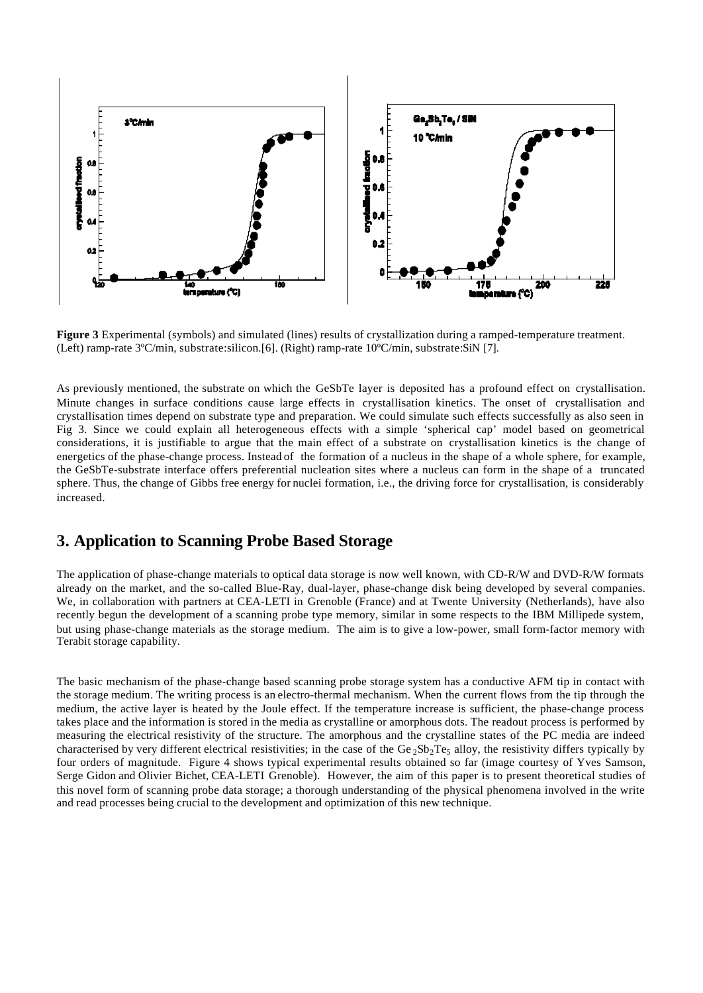

**Figure 3** Experimental (symbols) and simulated (lines) results of crystallization during a ramped-temperature treatment. (Left) ramp-rate 3ºC/min, substrate:silicon.[6]. (Right) ramp-rate 10ºC/min, substrate:SiN [7].

As previously mentioned, the substrate on which the GeSbTe layer is deposited has a profound effect on crystallisation. Minute changes in surface conditions cause large effects in crystallisation kinetics. The onset of crystallisation and crystallisation times depend on substrate type and preparation. We could simulate such effects successfully as also seen in Fig 3. Since we could explain all heterogeneous effects with a simple 'spherical cap' model based on geometrical considerations, it is justifiable to argue that the main effect of a substrate on crystallisation kinetics is the change of energetics of the phase-change process. Instead of the formation of a nucleus in the shape of a whole sphere, for example, the GeSbTe-substrate interface offers preferential nucleation sites where a nucleus can form in the shape of a truncated sphere. Thus, the change of Gibbs free energy for nuclei formation, i.e., the driving force for crystallisation, is considerably increased.

## **3. Application to Scanning Probe Based Storage**

The application of phase-change materials to optical data storage is now well known, with CD-R/W and DVD-R/W formats already on the market, and the so-called Blue-Ray, dual-layer, phase-change disk being developed by several companies. We, in collaboration with partners at CEA-LETI in Grenoble (France) and at Twente University (Netherlands), have also recently begun the development of a scanning probe type memory, similar in some respects to the IBM Millipede system, but using phase-change materials as the storage medium. The aim is to give a low-power, small form-factor memory with Terabit storage capability.

The basic mechanism of the phase-change based scanning probe storage system has a conductive AFM tip in contact with the storage medium. The writing process is an electro-thermal mechanism. When the current flows from the tip through the medium, the active layer is heated by the Joule effect. If the temperature increase is sufficient, the phase-change process takes place and the information is stored in the media as crystalline or amorphous dots. The readout process is performed by measuring the electrical resistivity of the structure. The amorphous and the crystalline states of the PC media are indeed characterised by very different electrical resistivities; in the case of the Ge<sub>2</sub>Sb<sub>2</sub>Te<sub>5</sub> alloy, the resistivity differs typically by four orders of magnitude. Figure 4 shows typical experimental results obtained so far (image courtesy of Yves Samson, Serge Gidon and Olivier Bichet, CEA-LETI Grenoble). However, the aim of this paper is to present theoretical studies of this novel form of scanning probe data storage; a thorough understanding of the physical phenomena involved in the write and read processes being crucial to the development and optimization of this new technique.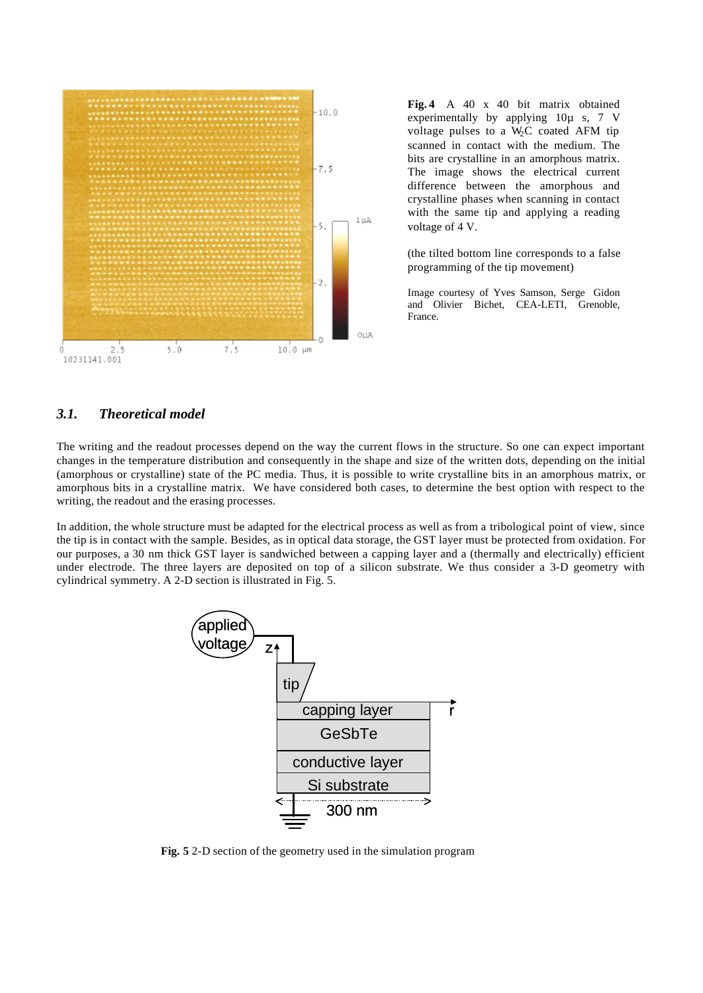

**Fig. 4** A 40 x 40 bit matrix obtained experimentally by applying 10µ s, 7 V voltage pulses to a  $W<sub>2</sub>C$  coated AFM tip scanned in contact with the medium. The bits are crystalline in an amorphous matrix. The image shows the electrical current difference between the amorphous and crystalline phases when scanning in contact with the same tip and applying a reading voltage of 4 V.

(the tilted bottom line corresponds to a false programming of the tip movement)

Image courtesy of Yves Samson, Serge Gidon and Olivier Bichet, CEA-LETI, Grenoble, France.

### *3.1. Theoretical model*

The writing and the readout processes depend on the way the current flows in the structure. So one can expect important changes in the temperature distribution and consequently in the shape and size of the written dots, depending on the initial (amorphous or crystalline) state of the PC media. Thus, it is possible to write crystalline bits in an amorphous matrix, or amorphous bits in a crystalline matrix. We have considered both cases, to determine the best option with respect to the writing, the readout and the erasing processes.

In addition, the whole structure must be adapted for the electrical process as well as from a tribological point of view, since the tip is in contact with the sample. Besides, as in optical data storage, the GST layer must be protected from oxidation. For our purposes, a 30 nm thick GST layer is sandwiched between a capping layer and a (thermally and electrically) efficient under electrode. The three layers are deposited on top of a silicon substrate. We thus consider a 3-D geometry with cylindrical symmetry. A 2-D section is illustrated in Fig. 5.



**Fig. 5** 2-D section of the geometry used in the simulation program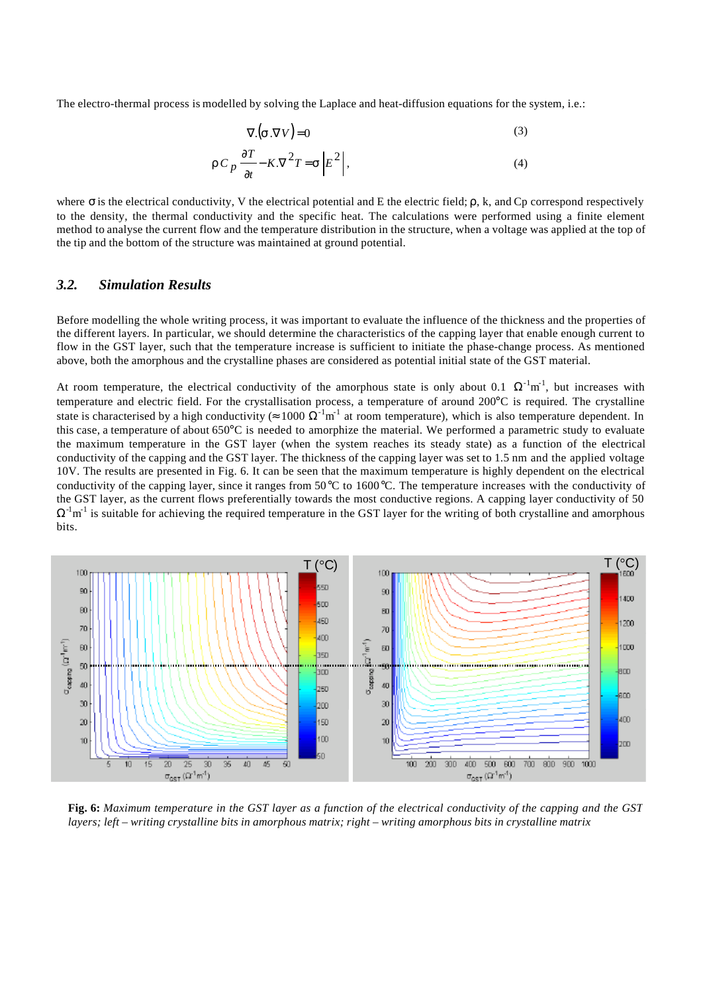The electro-thermal process is modelled by solving the Laplace and heat-diffusion equations for the system, i.e.:

$$
\nabla \left( \mathbf{s} \cdot \nabla V \right) = 0 \tag{3}
$$

$$
rC_p \frac{\partial T}{\partial t} - K \cdot \nabla^2 T = \mathbf{s} \left| E^2 \right|,\tag{4}
$$

where  $\sigma$  is the electrical conductivity, V the electrical potential and E the electric field;  $\rho$ , k, and Cp correspond respectively to the density, the thermal conductivity and the specific heat. The calculations were performed using a finite element method to analyse the current flow and the temperature distribution in the structure, when a voltage was applied at the top of the tip and the bottom of the structure was maintained at ground potential.

### *3.2. Simulation Results*

Before modelling the whole writing process, it was important to evaluate the influence of the thickness and the properties of the different layers. In particular, we should determine the characteristics of the capping layer that enable enough current to flow in the GST layer, such that the temperature increase is sufficient to initiate the phase-change process. As mentioned above, both the amorphous and the crystalline phases are considered as potential initial state of the GST material.

At room temperature, the electrical conductivity of the amorphous state is only about 0.1  $\Omega^{-1}m^{-1}$ , but increases with temperature and electric field. For the crystallisation process, a temperature of around 200°C is required. The crystalline state is characterised by a high conductivity ( $\approx 1000 \Omega^{-1} m^{-1}$  at room temperature), which is also temperature dependent. In this case, a temperature of about  $650^{\circ}$ C is needed to amorphize the material. We performed a parametric study to evaluate the maximum temperature in the GST layer (when the system reaches its steady state) as a function of the electrical conductivity of the capping and the GST layer. The thickness of the capping layer was set to 1.5 nm and the applied voltage 10V. The results are presented in Fig. 6. It can be seen that the maximum temperature is highly dependent on the electrical conductivity of the capping layer, since it ranges from 50°C to 1600°C. The temperature increases with the conductivity of the GST layer, as the current flows preferentially towards the most conductive regions. A capping layer conductivity of 50  $\Omega^{-1}$ m<sup>-1</sup> is suitable for achieving the required temperature in the GST layer for the writing of both crystalline and amorphous bits.



**Fig. 6:** *Maximum temperature in the GST layer as a function of the electrical conductivity of the capping and the GST layers; left – writing crystalline bits in amorphous matrix; right – writing amorphous bits in crystalline matrix*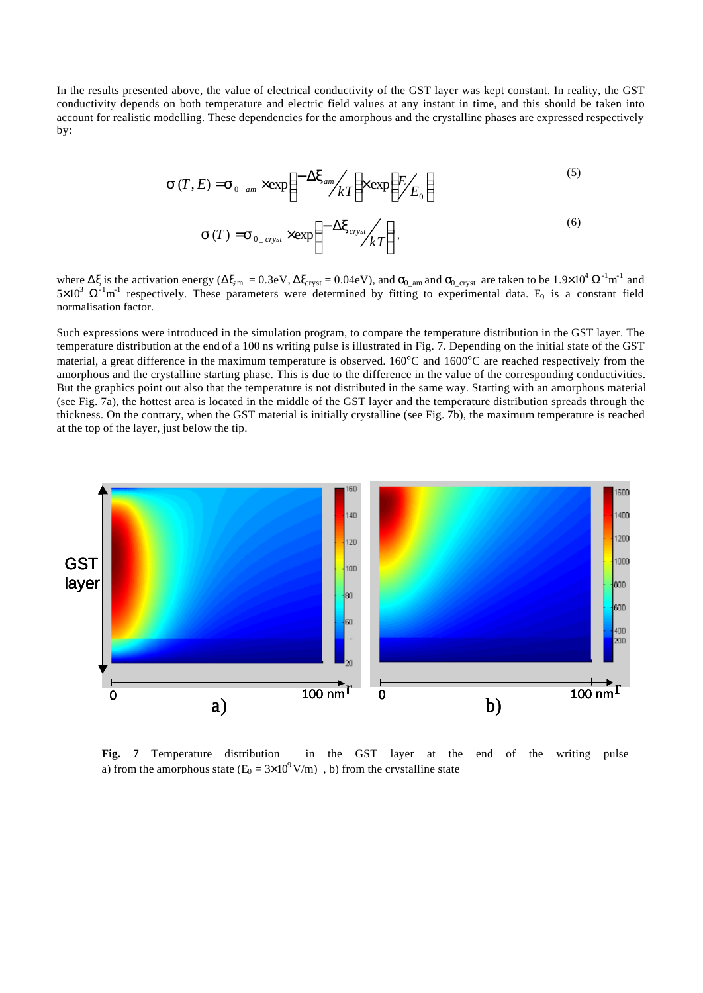In the results presented above, the value of electrical conductivity of the GST layer was kept constant. In reality, the GST conductivity depends on both temperature and electric field values at any instant in time, and this should be taken into account for realistic modelling. These dependencies for the amorphous and the crystalline phases are expressed respectively by:

$$
\mathbf{S}(T, E) = \mathbf{S}_{0_{\text{max}}} \times \exp\left(-\frac{\Delta \mathbf{x}_{\text{am}}}{kT}\right) \times \exp\left(\frac{E}{E_0}\right)
$$
 (5)

$$
\mathbf{S}(T) = \mathbf{S}_{0\_cryst} \times \exp\left(-\frac{\Delta \mathbf{x}_{cryst}}{kT}\right),\tag{6}
$$

where  $\Delta \xi$  is the activation energy ( $\Delta \xi_{\rm am} = 0.3$ eV,  $\Delta \xi_{\rm crystal} = 0.04$ eV), and  $\sigma_{0_{\rm am}}$  and  $\sigma_{0_{\rm cyst}}$  are taken to be  $1.9 \times 10^4 \Omega^{-1} \text{m}^{-1}$  and  $5\times10^3$   $\Omega^{-1}$ m<sup>-1</sup> respectively. These parameters were determined by fitting to experimental data. E<sub>0</sub> is a constant field normalisation factor.

Such expressions were introduced in the simulation program, to compare the temperature distribution in the GST layer. The temperature distribution at the end of a 100 ns writing pulse is illustrated in Fig. 7. Depending on the initial state of the GST material, a great difference in the maximum temperature is observed. 160°C and 1600°C are reached respectively from the amorphous and the crystalline starting phase. This is due to the difference in the value of the corresponding conductivities. But the graphics point out also that the temperature is not distributed in the same way. Starting with an amorphous material (see Fig. 7a), the hottest area is located in the middle of the GST layer and the temperature distribution spreads through the thickness. On the contrary, when the GST material is initially crystalline (see Fig. 7b), the maximum temperature is reached at the top of the layer, just below the tip.



**Fig. 7** Temperature distribution in the GST layer at the end of the writing pulse a) from the amorphous state  $(E_0 = 3 \times 10^9 \text{ V/m})$ , b) from the crystalline state